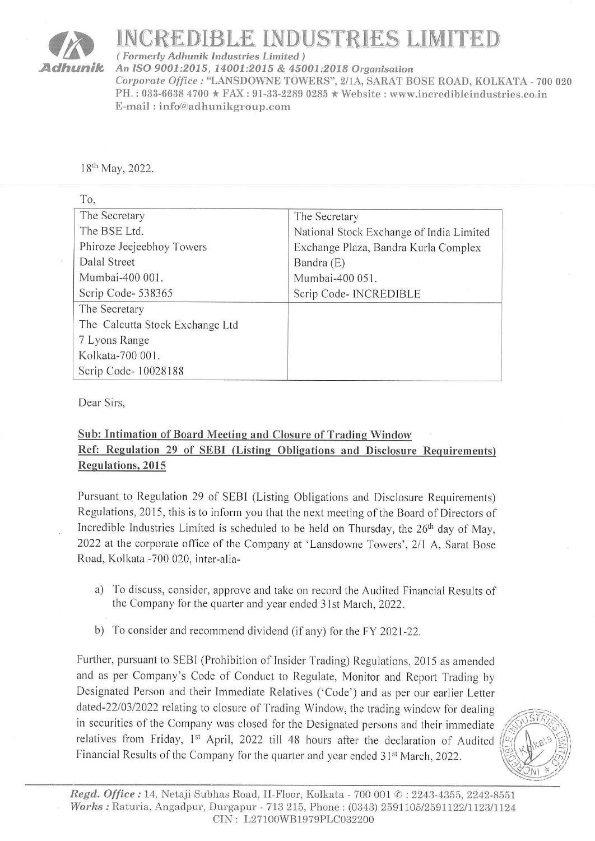## OR INCREDIBLE INDUSTRIES LIMITED

Adhunik An ISO 9001:2015, 14001:2015 & 45001:2018 Organisation Corporate Office : "LANSDOWNE TOWERS", 2/1A, SARAT BOSE ROAD, KOLKATA - 700 020 PH. : 033-6638 4700 \* FAX : 91-33-2289 0285 \* Website : www.incredibleindustries.co.in E-mail : info@adhunikgroup.com  $\begin{array}{ll}\n\textbf{INCREDIBLE IN}\n\hline\n\textbf{formerly Adhunik Industries Limit}\n\textbf{An ISO 9001:} 2015, 14001:2015 & \textbf{Corporate Office}: \textbf{TANSDOWNE T} \\\n\textbf{PH.:} 033-6638 4700 \star \textbf{FAX}: 91-33-22 \\\n\textbf{E-mail}: info@adhunikgroup.com\n\end{array}$ 

| Adhunik                                                                                                                                                                                                                                   | (Formerly Adhunik Industries Limited)<br>An ISO 9001:2015, 14001:2015 & 45001:2018 Organisation<br>E-mail: info@adhunikgroup.com                                                                                                                                                                                                                                                                                                                                                                                                                                                                                             | INCREDIBLE INDUSTRIES LIMITED<br>Corporate Office: "LANSDOWNE TOWERS", 2/1A, SARAT BOSE ROAD, KOLK<br>PH.: 033-6638 4700 * FAX: 91-33-2289 0285 * Website: www.incredibleindustr                                                                                                                                                                                                                                                                                                                                                                                                                                                       |  |
|-------------------------------------------------------------------------------------------------------------------------------------------------------------------------------------------------------------------------------------------|------------------------------------------------------------------------------------------------------------------------------------------------------------------------------------------------------------------------------------------------------------------------------------------------------------------------------------------------------------------------------------------------------------------------------------------------------------------------------------------------------------------------------------------------------------------------------------------------------------------------------|----------------------------------------------------------------------------------------------------------------------------------------------------------------------------------------------------------------------------------------------------------------------------------------------------------------------------------------------------------------------------------------------------------------------------------------------------------------------------------------------------------------------------------------------------------------------------------------------------------------------------------------|--|
|                                                                                                                                                                                                                                           | 18 <sup>th</sup> May, 2022.                                                                                                                                                                                                                                                                                                                                                                                                                                                                                                                                                                                                  |                                                                                                                                                                                                                                                                                                                                                                                                                                                                                                                                                                                                                                        |  |
| To,<br>Dalal Street                                                                                                                                                                                                                       | The Secretary<br>The BSE Ltd.<br>Phiroze Jeejeebhoy Towers<br>Mumbai-400 001.<br>Scrip Code-538365<br>The Secretary<br>The Calcutta Stock Exchange Ltd<br>7 Lyons Range<br>Kolkata-700 001.<br>Scrip Code- 10028188                                                                                                                                                                                                                                                                                                                                                                                                          | The Secretary<br>National Stock Exchange of India Limited<br>Exchange Plaza, Bandra Kurla Complex<br>Bandra (E)<br>Mumbai-400 051.<br>Scrip Code- INCREDIBLE                                                                                                                                                                                                                                                                                                                                                                                                                                                                           |  |
|                                                                                                                                                                                                                                           | Dear Sirs,<br><b>Sub: Intimation of Board Meeting and Closure of Trading Window</b><br>Ref: Regulation 29 of SEBI (Listing Obligations and Disclosure Requirements)<br><b>Regulations</b> , 2015<br>Pursuant to Regulation 29 of SEBI (Listing Obligations and Disclosure Requirements)<br>Regulations, 2015, this is to inform you that the next meeting of the Board of Directors of<br>Incredible Industries Limited is scheduled to be held on Thursday, the 26 <sup>th</sup> day of May,<br>2022 at the corporate office of the Company at 'Lansdowne Towers', 2/1 A, Sarat Bose<br>Road, Kolkata -700 020, inter-alia- |                                                                                                                                                                                                                                                                                                                                                                                                                                                                                                                                                                                                                                        |  |
| a)<br>the Company for the quarter and year ended 31st March, 2022.<br>b) To consider and recommend dividend (if any) for the FY 2021-22.<br>Financial Results of the Company for the quarter and year ended 31 <sup>st</sup> March, 2022. |                                                                                                                                                                                                                                                                                                                                                                                                                                                                                                                                                                                                                              | To discuss, consider, approve and take on record the Audited Financial Results of<br>Further, pursuant to SEBI (Prohibition of Insider Trading) Regulations, 2015 as amended<br>and as per Company's Code of Conduct to Regulate, Monitor and Report Trading by<br>Designated Person and their Immediate Relatives ('Code') and as per our earlier Letter<br>dated-22/03/2022 relating to closure of Trading Window, the trading window for dealing<br>in securities of the Company was closed for the Designated persons and their immediate<br>relatives from Friday, 1st April, 2022 till 48 hours after the declaration of Audited |  |

## Sub: Intimation of Board Meeting and Closure of Trading Window Ref: Regulation 29 of SEBI (Listing Obligations and Disclosure Requirements) Regulations, 2015

- a) To discuss, consider, approve and take on record the Audited Financial Results of the Company for the quarter and year ended 31st March, 2022.
- b) To consider and recommend dividend (if any) for the FY 2021-22.